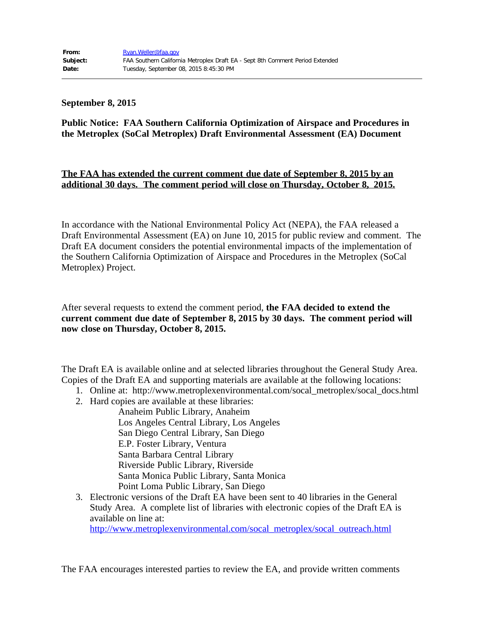## **September 8, 2015**

## **Public Notice: FAA Southern California Optimization of Airspace and Procedures in the Metroplex (SoCal Metroplex) Draft Environmental Assessment (EA) Document**

## **The FAA has extended the current comment due date of September 8, 2015 by an additional 30 days. The comment period will close on Thursday, October 8, 2015.**

In accordance with the National Environmental Policy Act (NEPA), the FAA released a Draft Environmental Assessment (EA) on June 10, 2015 for public review and comment. The Draft EA document considers the potential environmental impacts of the implementation of the Southern California Optimization of Airspace and Procedures in the Metroplex (SoCal Metroplex) Project.

After several requests to extend the comment period, **the FAA decided to extend the current comment due date of September 8, 2015 by 30 days. The comment period will now close on Thursday, October 8, 2015.**

The Draft EA is available online and at selected libraries throughout the General Study Area. Copies of the Draft EA and supporting materials are available at the following locations:

- 1. Online at: http://www.metroplexenvironmental.com/socal\_metroplex/socal\_docs.html
- 2. Hard copies are available at these libraries:

Anaheim Public Library, Anaheim Los Angeles Central Library, Los Angeles San Diego Central Library, San Diego E.P. Foster Library, Ventura Santa Barbara Central Library Riverside Public Library, Riverside Santa Monica Public Library, Santa Monica Point Loma Public Library, San Diego

3. Electronic versions of the Draft EA have been sent to 40 libraries in the General Study Area. A complete list of libraries with electronic copies of the Draft EA is available on line at: [http://www.metroplexenvironmental.com/socal\\_metroplex/socal\\_outreach.html](https://urldefense.proofpoint.com/v2/url?u=http-3A__www.metroplexenvironmental.com_socal-5Fmetroplex_socal-5Foutreach.html&d=AwMFAg&c=_EZyq3jpMgV82C-qqw4SRw&r=WTHozAiOOxVNSpclkq8sXhLW3UcOVuHLQTpeAvxA3pI&m=RFANmDc3soT_tX9prLiFAIqudE2kE-DcNwBXNtX9k9o&s=wSnG9eSFJzFiTR9-wM-XfKIamVCO9cHIyyU_wVwVV5c&e=)

The FAA encourages interested parties to review the EA, and provide written comments